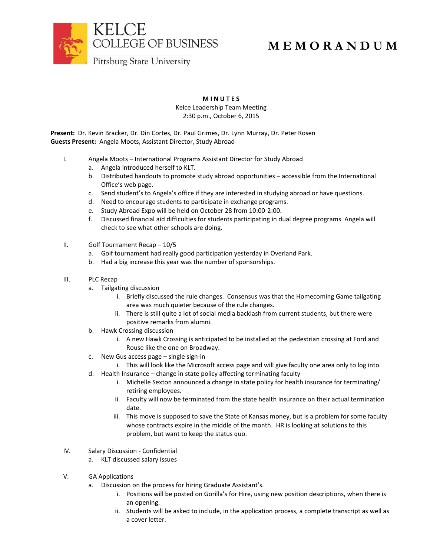

## **M E M O R A N D U M**

Pittsburg State University

## **M I N U T E S** Kelce Leadership Team Meeting

2:30 p.m., October 6, 2015

**Present:** Dr. Kevin Bracker, Dr. Din Cortes, Dr. Paul Grimes, Dr. Lynn Murray, Dr. Peter Rosen **Guests Present:** Angela Moots, Assistant Director, Study Abroad

- I. Angela Moots International Programs Assistant Director for Study Abroad
	- a. Angela introduced herself to KLT.
	- b. Distributed handouts to promote study abroad opportunities accessible from the International Office's web page.
	- c. Send student's to Angela's office if they are interested in studying abroad or have questions.
	- d. Need to encourage students to participate in exchange programs.
	- e. Study Abroad Expo will be held on October 28 from 10:00-2:00.
	- f. Discussed financial aid difficulties for students participating in dual degree programs. Angela will check to see what other schools are doing.
- II. Golf Tournament Recap 10/5
	- a. Golf tournament had really good participation yesterday in Overland Park.
	- b. Had a big increase this year was the number of sponsorships.
- III. PLC Recap
	- a. Tailgating discussion
		- i. Briefly discussed the rule changes. Consensus was that the Homecoming Game tailgating area was much quieter because of the rule changes.
		- ii. There is still quite a lot of social media backlash from current students, but there were positive remarks from alumni.
	- b. Hawk Crossing discussion
		- i. A new Hawk Crossing is anticipated to be installed at the pedestrian crossing at Ford and Rouse like the one on Broadway.
	- c. New Gus access page single sign-in
		- i. This will look like the Microsoft access page and will give faculty one area only to log into.
	- d. Health Insurance change in state policy affecting terminating faculty
		- i. Michelle Sexton announced a change in state policy for health insurance for terminating/ retiring employees.
		- ii. Faculty will now be terminated from the state health insurance on their actual termination date.
		- iii. This move is supposed to save the State of Kansas money, but is a problem for some faculty whose contracts expire in the middle of the month. HR is looking at solutions to this problem, but want to keep the status quo.
- IV. Salary Discussion Confidential
	- a. KLT discussed salary issues
- V. GA Applications
	- a. Discussion on the process for hiring Graduate Assistant's.
		- i. Positions will be posted on Gorilla's for Hire, using new position descriptions, when there is an opening.
		- ii. Students will be asked to include, in the application process, a complete transcript as well as a cover letter.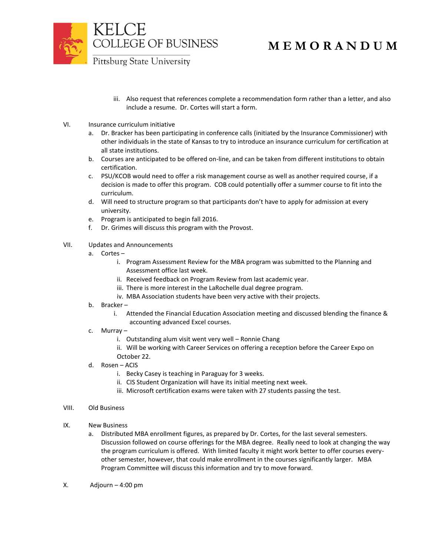

Pittsburg State University

- iii. Also request that references complete a recommendation form rather than a letter, and also include a resume. Dr. Cortes will start a form.
- VI. Insurance curriculum initiative
	- a. Dr. Bracker has been participating in conference calls (initiated by the Insurance Commissioner) with other individuals in the state of Kansas to try to introduce an insurance curriculum for certification at all state institutions.
	- b. Courses are anticipated to be offered on-line, and can be taken from different institutions to obtain certification.
	- c. PSU/KCOB would need to offer a risk management course as well as another required course, if a decision is made to offer this program. COB could potentially offer a summer course to fit into the curriculum.
	- d. Will need to structure program so that participants don't have to apply for admission at every university.
	- e. Program is anticipated to begin fall 2016.
	- f. Dr. Grimes will discuss this program with the Provost.
- VII. Updates and Announcements
	- a. Cortes
		- i. Program Assessment Review for the MBA program was submitted to the Planning and Assessment office last week.
		- ii. Received feedback on Program Review from last academic year.
		- iii. There is more interest in the LaRochelle dual degree program.
		- iv. MBA Association students have been very active with their projects.
	- b. Bracker
		- i. Attended the Financial Education Association meeting and discussed blending the finance & accounting advanced Excel courses.
	- c. Murray
		- i. Outstanding alum visit went very well Ronnie Chang
		- ii. Will be working with Career Services on offering a reception before the Career Expo on October 22.
	- d. Rosen ACIS
		- i. Becky Casey is teaching in Paraguay for 3 weeks.
		- ii. CIS Student Organization will have its initial meeting next week.
		- iii. Microsoft certification exams were taken with 27 students passing the test.
- VIII. Old Business
- IX. New Business
	- a. Distributed MBA enrollment figures, as prepared by Dr. Cortes, for the last several semesters. Discussion followed on course offerings for the MBA degree. Really need to look at changing the way the program curriculum is offered. With limited faculty it might work better to offer courses everyother semester, however, that could make enrollment in the courses significantly larger. MBA Program Committee will discuss this information and try to move forward.
- X. Adjourn 4:00 pm